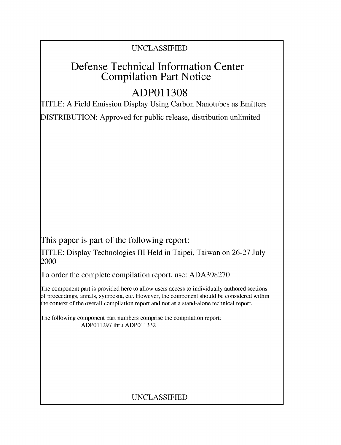### UNCLASSIFIED

## Defense Technical Information Center Compilation Part Notice

# **ADPO1 1308**

TITLE: A Field Emission Display Using Carbon Nanotubes as Emitters

DISTRIBUTION: Approved for public release, distribution unlimited

This paper is part of the following report:

TITLE: Display Technologies III Held in Taipei, Taiwan on 26-27 July 2000

To order the complete compilation report, use: ADA398270

The component part is provided here to allow users access to individually authored sections f proceedings, annals, symposia, etc. However, the component should be considered within [he context of the overall compilation report and not as a stand-alone technical report.

The following component part numbers comprise the compilation report: ADP011297 thru ADP011332

## UNCLASSIFIED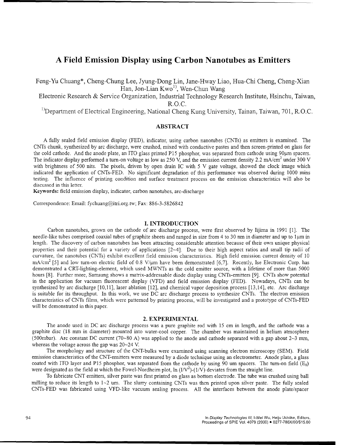### **A** Field Emission Display using Carbon Nanotubes as Emitters

Feng-Yu Chuang\*, Cheng-Chung Lee, Jyung-Dong Lin, Jane-Hway Liao, Hua-Chi Cheng, Cheng-Xian Han, Jon-Lian Kwo<sup>1)</sup>, Wen-Chun Wang

Electronic Research & Service Organization, Industrial Technology Research Institute, Hsinchu, Taiwan, R.O.C.

<sup>1</sup>)Department of Electrical Engineering, National Cheng Kung University, Tainan, Taiwan, 701, R.O.C.

#### ABSTRACT

**A** fully sealed field emission display (FED), indicator, using carbon nanotubes (CNTs) as emitters is examined. The CNTs chunk, synthesized by arc discharge, were crushed, mixed with conductive pastes and then screen-printed on glass for the cold cathode. And the anode plate, an ITO glass printed P15 phosphor, was separated from cathode using 90µm spacers. The indicator display performed a turn-on voltage as low as 250 V, and the emission current density 2.2 mA/cm<sup>2</sup> under 300 V with brightness of 500 nits. The pixels, driven by open drain IC with 5 V gate voltage, showed the clock image which indicated the application of CNTs-FED. No significant degradation of this performance was observed during 1000 mins testing. The influence of printing condition and surface treatment process on the emission characteristics will also be discussed in this letter.

Keywords: field emission display, indicator, carbon nanotubes, arc-discharge

Correspondence: Email: fychuang@itri.org.tw; Fax: 886-3-5826842

#### I. INTRODUCTION

Carbon nanotubes, grown on the cathode of arc discharge process, were first observed by Iijima in 1991 [1]. The needle-like tubes comprised coaxial tubes of graphite sheets and ranged in size from 4 to 30 nm in diameter and up to 1 um in length. The discovery of carbon nanotubes has been attracting considerable attention because of their own unique physical properties and their potential for a variety of applications [2-4]. Due to their high aspect ratios and small tip radii of curvature, the nanotubes (CNTs) exhibit excellent field emission characteristics. High field emission current density of 10 mA/cm<sup>2</sup> [5] and low turn-on electric field of 0.8 V/ $\mu$ m have been demonstrated [6,7]. Recently, Ise Electronic Corp. has demonstrated a CRT-lighting-element, which used MWNTs as the cold emitter source, with a lifetime of more than 5000 hours [8]. Further more, Samsung shows a matrix-addressable diode display using CNTs-emitters [9]. CNTs show potential in the application for vacuum fluorescent display (VFD) and field emission display (FED). Nowadays, CNTs can be synthesized by arc discharge [10,11], laser ablation [12], and chemical vapor deposition process [13,14], etc. Arc discharge is suitable for its throughput. In this work, we use DC arc discharge process to synthesize CNTs. The electron emission characteristics of CNTs films, which were patterned by printing process, will be investigated and a prototype of CNTs-FED will be demonstrated in this paper.

#### 2. EXPERIMENTAL

The anode used in DC arc discharge process was a pure graphite rod with 15 cm in length, and the cathode was a graphite disc (18 mm in diameter) mounted into water-cool copper. The chamber was maintained in helium atmosphere (500mbar). Arc constant DC current (70~80 A) was applied to the anode and cathode separated with a gap about  $2\neg 3$  mm, whereas the voltage across the gap was 20-24 V.

The morphology and structure of the CNT-bulks were examined using scanning electron microscopy (SEM). Field emission characteristics of the CNT-emitters were measured by a diode technique using an electrometer. Anode plate, a glass coated with ITO layer and P15 phosphor, was separated from the cathode by using 90 um spacers. The turn-on field  $(E_0)$ were designated as the field at which the Fowel-Nordheim plot,  $\ln (IV^2)$ -(1/V) deviates from the straight line.

To fabricate CNT emitters, silver paste was first printed on glass as bottom electrode. The tube was crushed using ball milling to reduce its length to 1~2 um. The slurry containing CNTs was then printed upon silver paste. The fully sealed CNTs-FED was fabricated using VFD-like vacuum sealing process. All the interfaces between the anode plate/spacer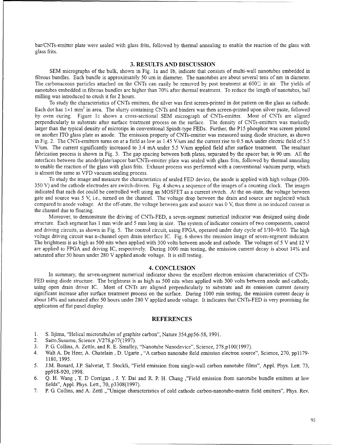bar/CNTs-emitter plate were sealed with glass frits, followed by thermal annealing to enable the reaction of the glass with glass frits.

#### **3. RESULTS AND DISCUSSION**

SEM micrographs of the bulk, shown in Fig. la and **lb,** indicate that consists of multi-wall nanotubes embedded in fibrous bundles. Each bundle is approximately 50 um in diameter. The nanotubes are about several tens of nm in diameter. The carbonaceous particles attached on the CNTs can easily be removed by post treatment at  $600\degree$  in air. The yields of nanotubes embedded in fibrous bundles are higher than 70% after thermal treatment. To reduce the length of nanotubes, ball milling was introduced to crush it for 2 hours.

To study the characteristics of CNTs emitters, the silver was first screen-printed in dot pattern on the glass as cathode. Each dot has 1×1 mm<sup>2</sup> in area. The slurry containing CNTs and binders was then screen-printed upon silver paste, followed by oven curing. Figure lc shows a cross-sectional SEM micrograph of CNTs-emitter. Most of CNTs are aligned perpendicularly to substrate after surface treatment process on the surface. The density of CNTs-emitters was markedly larger than the typical density of microtips in conventional Spindt-type FEDs. Further, the P15 phosphor was screen printed on another ITO glass plate as anode. The emission property of CNTs-emitter was measured using diode structure, as shown in Fig. 2. The CNTs-emitters turns on at a field as low as 1.45 V/urn and the current rise to 0.5 mA under electric field of 5.5 V/um. The current significantly increased to 3.4 mA under 5.5 V/urn applied field after surface treatment. The resultant fabrication process is shown in Fig. 3. The gap spacing between both plates, separated by the spacer bar, is 90 um. All the interfaces between the anode/plate/sapcer bar/CNTs-emitter plate was sealed with glass frits, followed by thermal annealing to enable the reaction of the glass with glass frits. Exhaust process was performed with a conventional vacuum pump, which is almost the same as VFD vacuum sealing process.

To study the image and measure the characteristics of sealed FED device, the anode is applied with high voltage (300- 350 V) and the cathode electrodes are switch-driven. Fig. 4 shows a sequence of the images of a counting clock. The images indicated that each dot could be controlled well using an MOSFET as a current switch. At the on-state, the voltage between gate and source was 5 V, i.e., turned on the channel. The voltage drop between the drain and source are neglected which compared to anode voltage. At the off-state, the voltage between gate and source was 0 V, thus there is no induced current in the channel due to floating.

Moreover, to demonstrate the driving of CNTs-FED, a seven-segment numerical indicator was designed using diode structure. Each segment has 1 mm wide and 5 mm long in size. The system of indicator consists of two components, control and driving circuits, as shown in Fig. 5. The control circuit, using FPGA, operated under duty cycle of **1/10-9/10.** The high voltage driving circuit was n-channel open drain interface IC. Fig. 6 shows the emission image of seven-segment indicator. The brightness is as high as 500 nits when applied with 300 volts between anode and cathode. The voltages of 5 V and 12 V are applied to FPGA and driving IC, respectively. During 1000 mm testing, the emission current decay is about 14% and saturated after 50 hours under 280 V applied anode voltage. It is still testing.

#### 4. **CONCLUSION**

In summary, the seven-segment numerical indicator shows the excellent electron emission characteristics of CNTs-FED using diode structure. The brightness is as high as 500 nits when applied with 300 volts between anode and cathode, using open drain driver IC. Most of CNTs are aligned perpendicularly to substrate and its emission current density significant increase after surface treatment process on the surface. During 1000 min testing, the emission current decay is about 14% and saturated after 50 hours under 280 V applied anode voltage. It indicates that CNTs-FED is very promising for application of flat panel display.

#### **REFERENCES**

- 1. **S.** lijima, "Helical microtubules of graphite carbon", Nature 354,pp56-58, 1991.
- 2. Saito,Susumu, Science ,V278,p77(1997).
- 3. P. G. Collins, A. Zettle, and R. E. Smalley, "Nanotube Nanodevice", Science, 278,p100(1997).
- 4. Walt A. De Heer, A. Chatelain, D. Ugarte , "A carbon nanotube field emission electron source", Science, 270, pp **1179-** 1180, 1995.
- 5. J.M. Bonard, J.P. Salvetat, T. Stockli, "Field emission from single-wall carbon nanotube films", Appl. Phys. Lett. 73, pp9l8-920, 1998.
- 6. **Q.** H. Wang , T. D Corrigan , J. Y. Dai and R. P. H. Chang ,"Field emission from nanotube bundle emitters at low fields", Appl. Phys. Lett., 70, p3308(1997).
- 7. P. G. Collins, and A. Zettl ,,"Unique characteristics of cold cathode carbon-nanotube-matrix field emitters", Phys. Rev.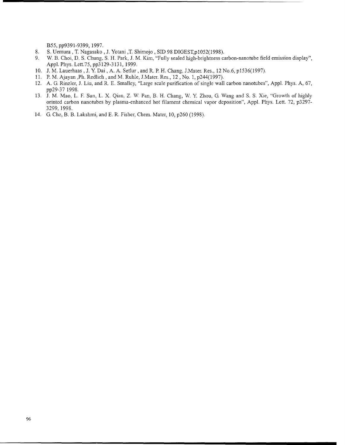B55, pp9391-9399, 1997.

- 8. S. Uemura, T. Nagasako, J. Yotani, T. Shimojo, SID 98 DIGEST, p1052(1998).
- 9. W. B. Choi, D. S. Chung, S. H. Park, J. M. Kim, "Fully sealed high-brighmess carbon-nanotube field emission display", Appl. Phys. Lett.75, pp3l29-3131, 1999.
- 10. J. M. Lauerhaas, J. Y. Dai, A. A. Setlur, and R. P. H. Chang, J. Mater. Res., 12 No.6, p1536(1997).
- 11. P. M. Ajayan ,Ph. Redlich, and M. Ruhle, J.Mater. Res., 12, No. 1, p244(1997).
- 12. A. G. Rinzler, J. Liu, and R. E. Smalley, "Large scale purification of single wall carbon nanotubes", Appl. Phys. A, 67, pp29-37 1998.
- 13. J. M. Mao, L. F. Sun, L. X. Qian, Z. W. Pan, B. H. Chang, W. Y. Zhou, G. Wang and S. S. Xie, "Growth of highly orinted carbon nanotubes by plasma-enhanced hot filament chemical vapor deposition", Appl. Phys. Lett. 72, p3297- 3299, 1998.
- 14. G. Che, B. B. Lakshmi, and E. R. Fisher, Chem. Mater, 10, p260 (1998).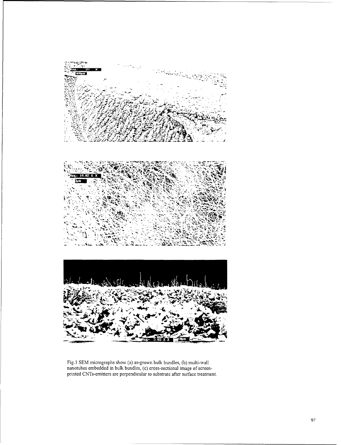

Fig.]1 **SEM** micrographs show (a) as-grown bulk bundles, **(b)** multi-wall nanotubes embedded in bulk bundles, (c) cross-sectional image of screenprinted CNTs-emitters are perpendicular to substrate after surface treatment.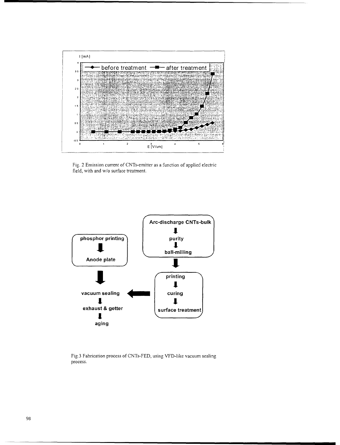

Fig. 2 Emission current of CNTs-emitter as a function of applied electric field, with and w/o surface treatment.



Fig.3 Fabrication process of CNTs-FED, using VFD-like vacuum sealing process.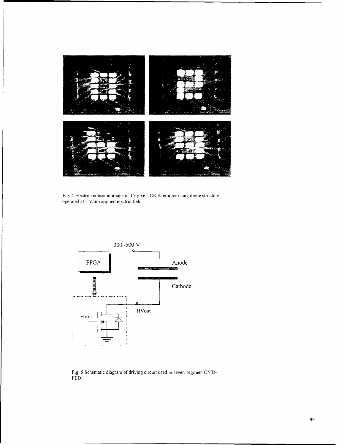

Fig. 4 Electron emission image of 15-pixels CNTs-emitter using diode structure, operated at 5 V/urn applied electric field.



Fig. 5 Schematic diagram of driving circuit used in seven-segment CNTs-FED.